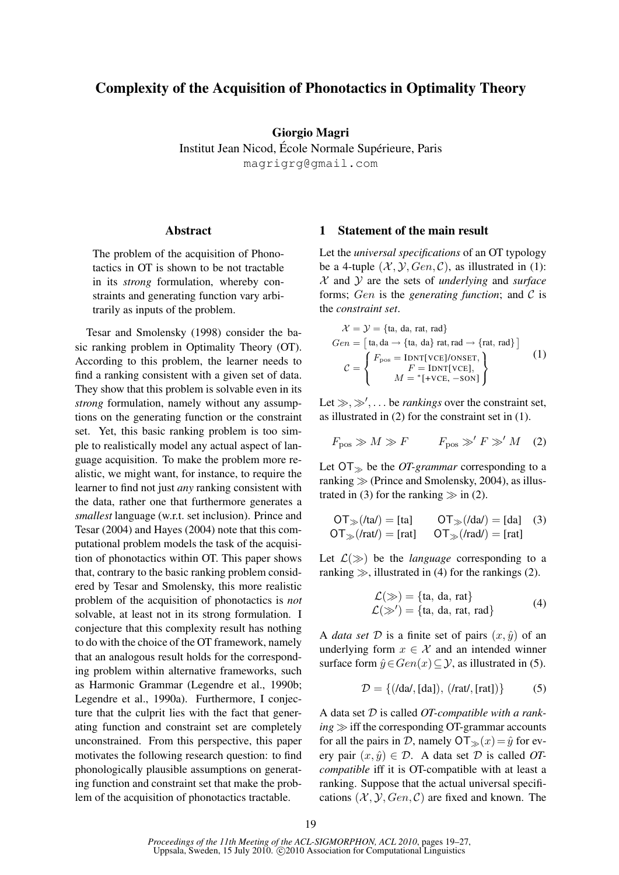# Complexity of the Acquisition of Phonotactics in Optimality Theory

Giorgio Magri

Institut Jean Nicod, École Normale Supérieure, Paris magrigrg@gmail.com

### Abstract

The problem of the acquisition of Phonotactics in OT is shown to be not tractable in its *strong* formulation, whereby constraints and generating function vary arbitrarily as inputs of the problem.

Tesar and Smolensky (1998) consider the basic ranking problem in Optimality Theory (OT). According to this problem, the learner needs to find a ranking consistent with a given set of data. They show that this problem is solvable even in its *strong* formulation, namely without any assumptions on the generating function or the constraint set. Yet, this basic ranking problem is too simple to realistically model any actual aspect of language acquisition. To make the problem more realistic, we might want, for instance, to require the learner to find not just *any* ranking consistent with the data, rather one that furthermore generates a *smallest* language (w.r.t. set inclusion). Prince and Tesar (2004) and Hayes (2004) note that this computational problem models the task of the acquisition of phonotactics within OT. This paper shows that, contrary to the basic ranking problem considered by Tesar and Smolensky, this more realistic problem of the acquisition of phonotactics is *not* solvable, at least not in its strong formulation. I conjecture that this complexity result has nothing to do with the choice of the OT framework, namely that an analogous result holds for the corresponding problem within alternative frameworks, such as Harmonic Grammar (Legendre et al., 1990b; Legendre et al., 1990a). Furthermore, I conjecture that the culprit lies with the fact that generating function and constraint set are completely unconstrained. From this perspective, this paper motivates the following research question: to find phonologically plausible assumptions on generating function and constraint set that make the problem of the acquisition of phonotactics tractable.

### 1 Statement of the main result

Let the *universal specifications* of an OT typology be a 4-tuple  $(X, Y, Gen, C)$ , as illustrated in (1): X and Y are the sets of *underlying* and *surface* forms; Gen is the *generating function*; and  $\mathcal C$  is the *constraint set*.

$$
\mathcal{X} = \mathcal{Y} = \{\text{ta, da, rat, rad}\}\
$$

$$
Gen = [\text{ta, da} \rightarrow \{\text{ta, da}\} \text{ rat, rad} \rightarrow \{\text{rat, rad}\}\]
$$

$$
\mathcal{C} = \begin{cases} F_{\text{pos}} = \text{IDNT}[\text{VCE}]/\text{ONSET}, \\ F = \text{IDNT}[\text{VCE}], \\ M = *[\text{+VCE}, -\text{SON}]\end{cases}
$$
(1)

Let  $\gg, \gg', \ldots$  be *rankings* over the constraint set, as illustrated in (2) for the constraint set in (1).

$$
F_{\text{pos}} \gg M \gg F \qquad F_{\text{pos}} \gg' F \gg' M \quad (2)
$$

Let  $\overline{OT_{\gg}}$  be the *OT-grammar* corresponding to a ranking  $\gg$  (Prince and Smolensky, 2004), as illustrated in (3) for the ranking  $\gg$  in (2).

$$
OT_{\gg}(Ita') = [ta] \qquad OT_{\gg}(Ida') = [da] \quad (3)
$$
  
 
$$
OT_{\gg}(Irat') = [rat] \qquad OT_{\gg}(Irad') = [rat]
$$

Let  $\mathcal{L}(\gg)$  be the *language* corresponding to a ranking  $\gg$ , illustrated in (4) for the rankings (2).

$$
\mathcal{L}(\gg) = \{\text{ta, da, rat}\}\
$$
  

$$
\mathcal{L}(\gg') = \{\text{ta, da, rat, rad}\}\
$$
 (4)

A *data set*  $D$  is a finite set of pairs  $(x, \hat{y})$  of an underlying form  $x \in \mathcal{X}$  and an intended winner surface form  $\hat{y} \in Gen(x) \subseteq Y$ , as illustrated in (5).

$$
\mathcal{D} = \{ ( \text{/da/}, \text{[da]}), ( \text{/rat/}, \text{[rat]} ) \} \tag{5}
$$

A data set D is called *OT-compatible with a rank* $ing \gg$  iff the corresponding OT-grammar accounts for all the pairs in D, namely  $\mathsf{OT}_{\gg}(x) = \hat{y}$  for every pair  $(x, \hat{y}) \in \mathcal{D}$ . A data set  $\mathcal D$  is called *OTcompatible* iff it is OT-compatible with at least a ranking. Suppose that the actual universal specifications  $(X, Y, Gen, C)$  are fixed and known. The

*Proceedings of the 11th Meeting of the ACL-SIGMORPHON, ACL 2010*, pages 19–27, Uppsala, Sweden, 15 July 2010. ©2010 Association for Computational Linguistics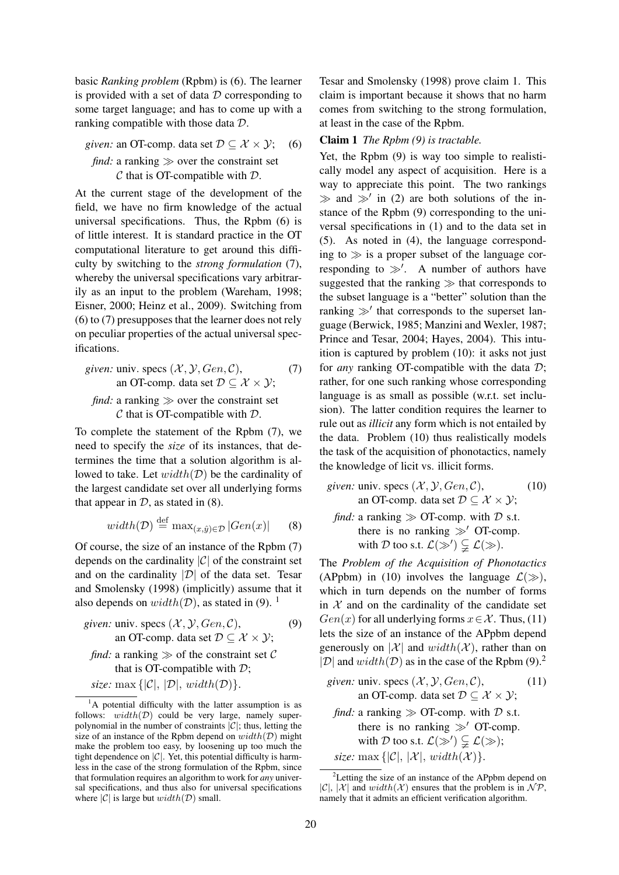basic *Ranking problem* (Rpbm) is (6). The learner is provided with a set of data  $D$  corresponding to some target language; and has to come up with a ranking compatible with those data D.

*given:* an OT-comp. data set 
$$
\mathcal{D} \subseteq \mathcal{X} \times \mathcal{Y}
$$
; (6) *find:* a ranking  $\gg$  over the constraint set *C* that is OT-compath with *D*.

At the current stage of the development of the field, we have no firm knowledge of the actual universal specifications. Thus, the Rpbm (6) is of little interest. It is standard practice in the OT computational literature to get around this difficulty by switching to the *strong formulation* (7), whereby the universal specifications vary arbitrarily as an input to the problem (Wareham, 1998; Eisner, 2000; Heinz et al., 2009). Switching from (6) to (7) presupposes that the learner does not rely on peculiar properties of the actual universal specifications.

*given:* univ. 
$$
\text{specs } (\mathcal{X}, \mathcal{Y}, Gen, \mathcal{C}),
$$
 (7)  
an OT-comp. data set  $\mathcal{D} \subseteq \mathcal{X} \times \mathcal{Y};$   
*find:* a ranking  $\gg$  over the constraint set

 $\mathcal C$  that is OT-compatible with  $\mathcal D$ .

To complete the statement of the Rpbm (7), we need to specify the *size* of its instances, that determines the time that a solution algorithm is allowed to take. Let  $width(\mathcal{D})$  be the cardinality of the largest candidate set over all underlying forms that appear in  $D$ , as stated in (8).

$$
width(\mathcal{D}) \stackrel{\text{def}}{=} \max_{(x,\hat{y}) \in \mathcal{D}} |Gen(x)| \qquad (8)
$$

Of course, the size of an instance of the Rpbm (7) depends on the cardinality  $|\mathcal{C}|$  of the constraint set and on the cardinality  $|\mathcal{D}|$  of the data set. Tesar and Smolensky (1998) (implicitly) assume that it also depends on  $width(\mathcal{D})$ , as stated in (9). <sup>1</sup>

given: univ. 
$$
\text{specs } (\mathcal{X}, \mathcal{Y}, Gen, \mathcal{C}),
$$
 (9)  
an OT-comp. data set  $\mathcal{D} \subseteq \mathcal{X} \times \mathcal{Y};$ 

*find:* a ranking  $\gg$  of the constraint set C that is OT-compatible with  $\mathcal{D}$ ;

*size:* max  $\{|\mathcal{C}|, |\mathcal{D}|, width(\mathcal{D})\}.$ 

Tesar and Smolensky (1998) prove claim 1. This claim is important because it shows that no harm comes from switching to the strong formulation, at least in the case of the Rpbm.

### Claim 1 *The Rpbm (9) is tractable.*

Yet, the Rpbm (9) is way too simple to realistically model any aspect of acquisition. Here is a way to appreciate this point. The two rankings  $\gg$  and  $\gg'$  in (2) are both solutions of the instance of the Rpbm (9) corresponding to the universal specifications in (1) and to the data set in (5). As noted in (4), the language corresponding to  $\gg$  is a proper subset of the language corresponding to  $\gg'$ . A number of authors have suggested that the ranking  $\gg$  that corresponds to the subset language is a "better" solution than the ranking  $\gg'$  that corresponds to the superset language (Berwick, 1985; Manzini and Wexler, 1987; Prince and Tesar, 2004; Hayes, 2004). This intuition is captured by problem (10): it asks not just for *any* ranking OT-compatible with the data D; rather, for one such ranking whose corresponding language is as small as possible (w.r.t. set inclusion). The latter condition requires the learner to rule out as *illicit* any form which is not entailed by the data. Problem (10) thus realistically models the task of the acquisition of phonotactics, namely the knowledge of licit vs. illicit forms.

given: univ. 
$$
\text{specs } (\mathcal{X}, \mathcal{Y}, Gen, \mathcal{C}),
$$
 (10)  
an OT-comp. data set  $\mathcal{D} \subseteq \mathcal{X} \times \mathcal{Y};$   
find: a ranking  $\gg$  OT-comp. with  $\mathcal{D}$  s.t.  
there is no ranking  $\gg'$  OT-comp.  
with  $\mathcal{D}$  too s.t.  $\mathcal{L}(\gg') \subsetneqq \mathcal{L}(\gg)$ .

The *Problem of the Acquisition of Phonotactics* (APpbm) in (10) involves the language  $\mathcal{L}(\gg)$ , which in turn depends on the number of forms in  $X$  and on the cardinality of the candidate set  $Gen(x)$  for all underlying forms  $x \in \mathcal{X}$ . Thus, (11) lets the size of an instance of the APpbm depend generously on  $|\mathcal{X}|$  and  $width(\mathcal{X})$ , rather than on  $|\mathcal{D}|$  and  $width(\mathcal{D})$  as in the case of the Rpbm (9).<sup>2</sup>

- *given:* univ. specs  $(X, Y, Gen, C)$ , an OT-comp. data set  $\mathcal{D} \subset \mathcal{X} \times \mathcal{Y}$ ; (11)
- *find:* a ranking  $\gg$  OT-comp. with  $\mathcal{D}$  s.t. there is no ranking  $\gg'$  OT-comp. with D too s.t.  $\mathcal{L}(\gg') \subsetneq \mathcal{L}(\gg);$ *size:* max  $\{|\mathcal{C}|, |\mathcal{X}|, width(\mathcal{X})\}.$

<sup>&</sup>lt;sup>1</sup>A potential difficulty with the latter assumption is as follows:  $width(D)$  could be very large, namely superpolynomial in the number of constraints  $|\mathcal{C}|$ ; thus, letting the size of an instance of the Rpbm depend on  $width(D)$  might make the problem too easy, by loosening up too much the tight dependence on  $|\mathcal{C}|$ . Yet, this potential difficulty is harmless in the case of the strong formulation of the Rpbm, since that formulation requires an algorithm to work for *any* universal specifications, and thus also for universal specifications where  $|\mathcal{C}|$  is large but  $width(\mathcal{D})$  small.

 $2$ Letting the size of an instance of the APpbm depend on  $|\mathcal{C}|$ ,  $|\mathcal{X}|$  and  $width(\mathcal{X})$  ensures that the problem is in  $\mathcal{NP}$ , namely that it admits an efficient verification algorithm.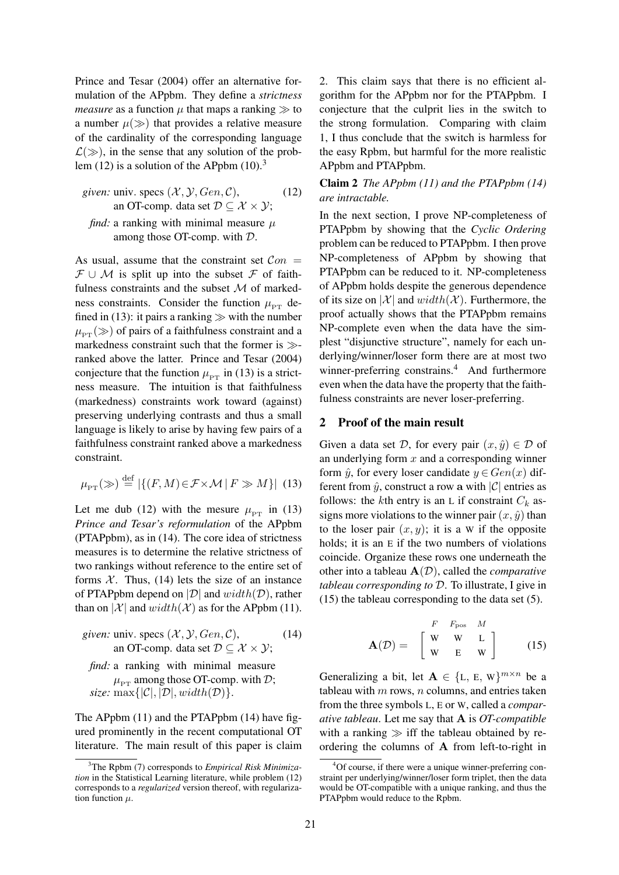Prince and Tesar (2004) offer an alternative formulation of the APpbm. They define a *strictness measure* as a function  $\mu$  that maps a ranking  $\gg$  to a number  $\mu(\gg)$  that provides a relative measure of the cardinality of the corresponding language  $\mathcal{L}(\gg)$ , in the sense that any solution of the problem (12) is a solution of the APpbm  $(10)^3$ 

*given:* univ. 
$$
specs (\mathcal{X}, \mathcal{Y}, Gen, \mathcal{C}),
$$
 \n*(12)* an OT-comp. data set  $\mathcal{D} \subseteq \mathcal{X} \times \mathcal{Y};$ 

*find:* a ranking with minimal measure  $\mu$ among those OT-comp. with D.

As usual, assume that the constraint set  $Con =$  $\mathcal{F} \cup \mathcal{M}$  is split up into the subset  $\mathcal{F}$  of faithfulness constraints and the subset  $M$  of markedness constraints. Consider the function  $\mu_{\text{p}_{\text{T}}}$  defined in (13): it pairs a ranking  $\gg$  with the number  $\mu_{PT} (\gg)$  of pairs of a faithfulness constraint and a markedness constraint such that the former is  $\gg$ ranked above the latter. Prince and Tesar (2004) conjecture that the function  $\mu_{PT}$  in (13) is a strictness measure. The intuition is that faithfulness (markedness) constraints work toward (against) preserving underlying contrasts and thus a small language is likely to arise by having few pairs of a faithfulness constraint ranked above a markedness constraint.

$$
\mu_{\text{PT}}(\gg) \stackrel{\text{def}}{=} |\{(F,M) \in \mathcal{F} \times \mathcal{M} \mid F \gg M\}| \tag{13}
$$

Let me dub (12) with the mesure  $\mu_{PT}$  in (13) *Prince and Tesar's reformulation* of the APpbm (PTAPpbm), as in (14). The core idea of strictness measures is to determine the relative strictness of two rankings without reference to the entire set of forms  $X$ . Thus, (14) lets the size of an instance of PTAPpbm depend on  $|\mathcal{D}|$  and  $width(\mathcal{D})$ , rather than on  $|\mathcal{X}|$  and  $width(\mathcal{X})$  as for the APpbm (11).

*given:* univ. specs  $(X, Y, Gen, C)$ , an OT-comp. data set  $\mathcal{D} \subseteq \mathcal{X} \times \mathcal{Y}$ ; (14)

*find:* a ranking with minimal measure  $\mu_{\text{PT}}$  among those OT-comp. with D; *size:*  $\max\{|\mathcal{C}|, |\mathcal{D}|, width(\mathcal{D})\}.$ 

The APpbm (11) and the PTAPpbm (14) have figured prominently in the recent computational OT literature. The main result of this paper is claim 2. This claim says that there is no efficient algorithm for the APpbm nor for the PTAPpbm. I conjecture that the culprit lies in the switch to the strong formulation. Comparing with claim 1, I thus conclude that the switch is harmless for the easy Rpbm, but harmful for the more realistic APpbm and PTAPpbm.

Claim 2 *The APpbm (11) and the PTAPpbm (14) are intractable.*

In the next section, I prove NP-completeness of PTAPpbm by showing that the *Cyclic Ordering* problem can be reduced to PTAPpbm. I then prove NP-completeness of APpbm by showing that PTAPpbm can be reduced to it. NP-completeness of APpbm holds despite the generous dependence of its size on  $|\mathcal{X}|$  and  $width(\mathcal{X})$ . Furthermore, the proof actually shows that the PTAPpbm remains NP-complete even when the data have the simplest "disjunctive structure", namely for each underlying/winner/loser form there are at most two winner-preferring constrains.<sup>4</sup> And furthermore even when the data have the property that the faithfulness constraints are never loser-preferring.

### 2 Proof of the main result

Given a data set D, for every pair  $(x, \hat{y}) \in \mathcal{D}$  of an underlying form  $x$  and a corresponding winner form  $\hat{u}$ , for every loser candidate  $y \in Gen(x)$  different from  $\hat{y}$ , construct a row a with  $|\mathcal{C}|$  entries as follows: the kth entry is an L if constraint  $C_k$  assigns more violations to the winner pair  $(x, \hat{y})$  than to the loser pair  $(x, y)$ ; it is a W if the opposite holds; it is an E if the two numbers of violations coincide. Organize these rows one underneath the other into a tableau A(D), called the *comparative tableau corresponding to* D. To illustrate, I give in (15) the tableau corresponding to the data set (5).

$$
\mathbf{A}(\mathcal{D}) = \begin{bmatrix} F & F_{\text{pos}} & M \\ W & W & L \\ W & E & W \end{bmatrix}
$$
 (15)

Generalizing a bit, let  $A \in \{L, E, W\}^{m \times n}$  be a tableau with  $m$  rows,  $n$  columns, and entries taken from the three symbols L, E or W, called a *comparative tableau*. Let me say that A is *OT-compatible* with a ranking  $\gg$  iff the tableau obtained by reordering the columns of A from left-to-right in

<sup>3</sup>The Rpbm (7) corresponds to *Empirical Risk Minimization* in the Statistical Learning literature, while problem (12) corresponds to a *regularized* version thereof, with regularization function  $\mu$ .

<sup>&</sup>lt;sup>4</sup>Of course, if there were a unique winner-preferring constraint per underlying/winner/loser form triplet, then the data would be OT-compatible with a unique ranking, and thus the PTAPpbm would reduce to the Rpbm.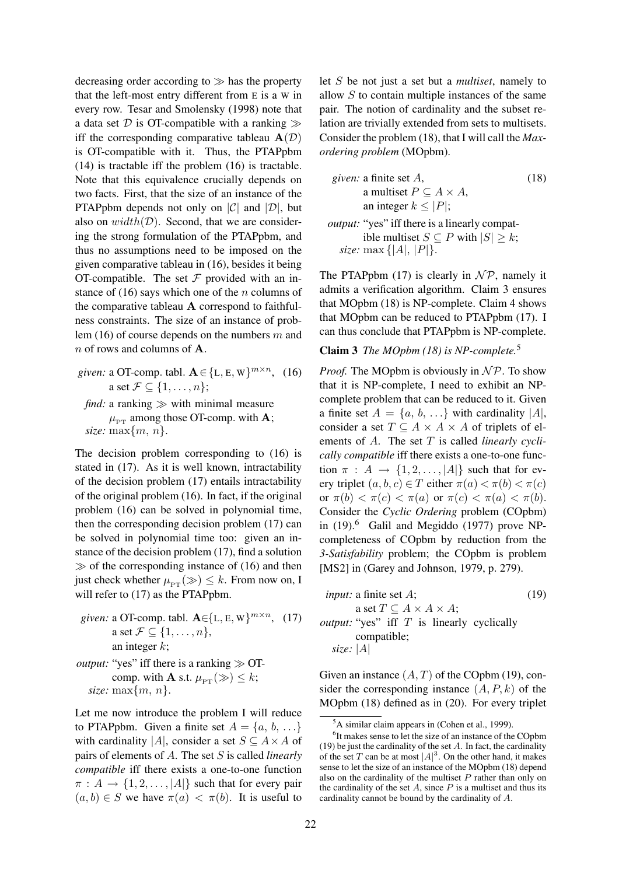decreasing order according to  $\gg$  has the property that the left-most entry different from E is a W in every row. Tesar and Smolensky (1998) note that a data set  $D$  is OT-compatible with a ranking  $\gg$ iff the corresponding comparative tableau  $A(D)$ is OT-compatible with it. Thus, the PTAPpbm (14) is tractable iff the problem (16) is tractable. Note that this equivalence crucially depends on two facts. First, that the size of an instance of the PTAPpbm depends not only on  $|C|$  and  $|D|$ , but also on  $width(D)$ . Second, that we are considering the strong formulation of the PTAPpbm, and thus no assumptions need to be imposed on the given comparative tableau in (16), besides it being OT-compatible. The set  $F$  provided with an instance of (16) says which one of the *n* columns of the comparative tableau A correspond to faithfulness constraints. The size of an instance of problem (16) of course depends on the numbers  $m$  and  $n$  of rows and columns of **A**.

*given:* a OT-comp. tabl.  $\mathbf{A} \in \{L, E, W\}^{m \times n}$ , (16) a set  $\mathcal{F} \subseteq \{1, \ldots, n\};$ *find:* a ranking  $\gg$  with minimal measure

 $\mu_{PT}$  among those OT-comp. with **A**; *size:* max $\{m, n\}$ .

The decision problem corresponding to (16) is stated in (17). As it is well known, intractability of the decision problem (17) entails intractability of the original problem (16). In fact, if the original problem (16) can be solved in polynomial time, then the corresponding decision problem (17) can be solved in polynomial time too: given an instance of the decision problem (17), find a solution  $\gg$  of the corresponding instance of (16) and then just check whether  $\mu_{PT} (\gg) \leq k$ . From now on, I will refer to  $(17)$  as the PTAPpbm.

*given:* a OT-comp. tabl.  $\mathbf{A} \in \{L, E, W\}^{m \times n}$ , (17) a set  $\mathcal{F} \subseteq \{1, \ldots, n\},\$ an integer  $k$ ;

*output:* "yes" iff there is a ranking  $\gg$  OTcomp. with **A** s.t.  $\mu_{PT}(\gg) \leq k$ ; *size:* max $\{m, n\}$ .

Let me now introduce the problem I will reduce to PTAPpbm. Given a finite set  $A = \{a, b, ...\}$ with cardinality |A|, consider a set  $S \subseteq A \times A$  of pairs of elements of A. The set S is called *linearly compatible* iff there exists a one-to-one function  $\pi : A \rightarrow \{1, 2, \ldots, |A|\}$  such that for every pair  $(a, b) \in S$  we have  $\pi(a) < \pi(b)$ . It is useful to let S be not just a set but a *multiset*, namely to allow  $S$  to contain multiple instances of the same pair. The notion of cardinality and the subset relation are trivially extended from sets to multisets. Consider the problem (18), that I will call the *Maxordering problem* (MOpbm).

*given:* a finite set *A*,  
\na multiset 
$$
P \subseteq A \times A
$$
,  
\nan integer  $k \leq |P|$ ;  
\n*output:* "yes" iff there is a linearly compat-  
\nible multiset  $S \subseteq P$  with  $|S| \geq k$ ;  
\n*size:* max { $|A|, |P|$ }.

The PTAPpbm (17) is clearly in  $N \mathcal{P}$ , namely it admits a verification algorithm. Claim 3 ensures that MOpbm (18) is NP-complete. Claim 4 shows that MOpbm can be reduced to PTAPpbm (17). I can thus conclude that PTAPpbm is NP-complete.

## Claim 3 *The MOpbm (18) is NP-complete.*<sup>5</sup>

*Proof.* The MOpbm is obviously in  $N \mathcal{P}$ . To show that it is NP-complete, I need to exhibit an NPcomplete problem that can be reduced to it. Given a finite set  $A = \{a, b, \ldots\}$  with cardinality  $|A|$ , consider a set  $T \subseteq A \times A \times A$  of triplets of elements of A. The set T is called *linearly cyclically compatible* iff there exists a one-to-one function  $\pi$  :  $A \rightarrow \{1, 2, ..., |A|\}$  such that for every triplet  $(a, b, c) \in T$  either  $\pi(a) < \pi(b) < \pi(c)$ or  $\pi(b) < \pi(c) < \pi(a)$  or  $\pi(c) < \pi(a) < \pi(b)$ . Consider the *Cyclic Ordering* problem (COpbm) in  $(19)$ .<sup>6</sup> Galil and Megiddo  $(1977)$  prove NPcompleteness of COpbm by reduction from the *3-Satisfability* problem; the COpbm is problem [MS2] in (Garey and Johnson, 1979, p. 279).

| <i>input:</i> a finite set $A$ ;                    | (19) |
|-----------------------------------------------------|------|
| a set $T \subseteq A \times A \times A$ ;           |      |
| <i>output:</i> "yes" iff $T$ is linearly cyclically |      |
| compatible;                                         |      |
| size: $ A $                                         |      |
|                                                     |      |

Given an instance  $(A, T)$  of the COpbm (19), consider the corresponding instance  $(A, P, k)$  of the MOpbm (18) defined as in (20). For every triplet

<sup>5</sup>A similar claim appears in (Cohen et al., 1999).

<sup>&</sup>lt;sup>6</sup>It makes sense to let the size of an instance of the COpbm  $(19)$  be just the cardinality of the set A. In fact, the cardinality of the set T can be at most  $|A|^3$ . On the other hand, it makes sense to let the size of an instance of the MOpbm (18) depend also on the cardinality of the multiset  $P$  rather than only on the cardinality of the set  $A$ , since  $P$  is a multiset and thus its cardinality cannot be bound by the cardinality of A.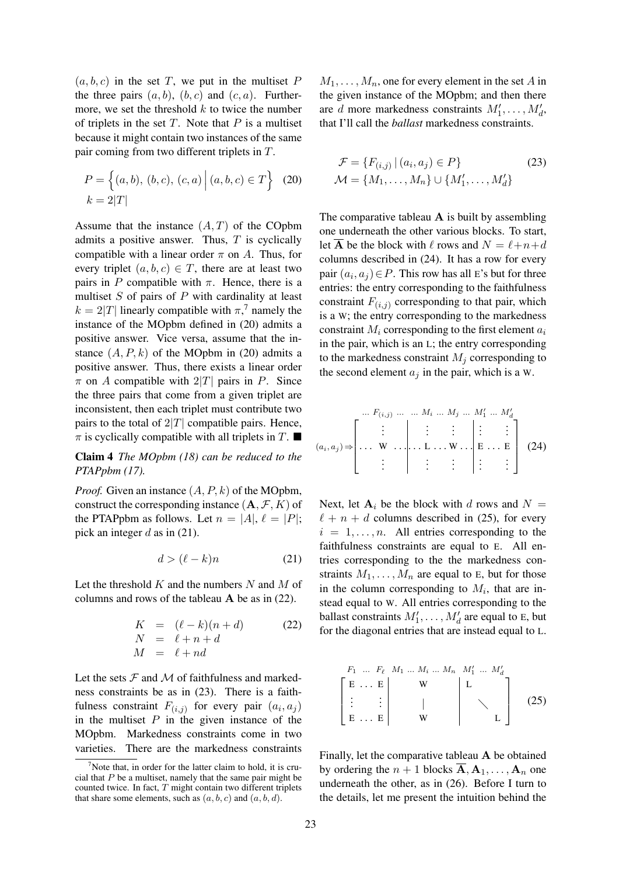$(a, b, c)$  in the set T, we put in the multiset P the three pairs  $(a, b)$ ,  $(b, c)$  and  $(c, a)$ . Furthermore, we set the threshold  $k$  to twice the number of triplets in the set  $T$ . Note that  $P$  is a multiset because it might contain two instances of the same pair coming from two different triplets in T.

$$
P = \left\{ (a, b), (b, c), (c, a) \middle| (a, b, c) \in T \right\}
$$
 (20)  

$$
k = 2|T|
$$

Assume that the instance  $(A, T)$  of the COpbm admits a positive answer. Thus,  $T$  is cyclically compatible with a linear order  $\pi$  on A. Thus, for every triplet  $(a, b, c) \in T$ , there are at least two pairs in P compatible with  $\pi$ . Hence, there is a multiset  $S$  of pairs of  $P$  with cardinality at least  $k = 2|T|$  linearly compatible with  $\pi$ ,<sup>7</sup> namely the instance of the MOpbm defined in (20) admits a positive answer. Vice versa, assume that the instance  $(A, P, k)$  of the MOpbm in (20) admits a positive answer. Thus, there exists a linear order  $\pi$  on A compatible with  $2|T|$  pairs in P. Since the three pairs that come from a given triplet are inconsistent, then each triplet must contribute two pairs to the total of  $2|T|$  compatible pairs. Hence,  $\pi$  is cyclically compatible with all triplets in T.

Claim 4 *The MOpbm (18) can be reduced to the PTAPpbm (17).*

*Proof.* Given an instance  $(A, P, k)$  of the MOpbm, construct the corresponding instance  $(A, \mathcal{F}, K)$  of the PTAPpbm as follows. Let  $n = |A|$ ,  $\ell = |P|$ ; pick an integer  $d$  as in (21).

$$
d > (\ell - k)n \tag{21}
$$

Let the threshold  $K$  and the numbers  $N$  and  $M$  of columns and rows of the tableau  $\bf{A}$  be as in (22).

$$
K = (\ell - k)(n + d)
$$
  
\n
$$
N = \ell + n + d
$$
  
\n
$$
M = \ell + nd
$$
\n(22)

Let the sets  $F$  and  $M$  of faithfulness and markedness constraints be as in (23). There is a faithfulness constraint  $F_{(i,j)}$  for every pair  $(a_i, a_j)$ in the multiset  $P$  in the given instance of the MOpbm. Markedness constraints come in two varieties. There are the markedness constraints  $M_1, \ldots, M_n$ , one for every element in the set A in the given instance of the MOpbm; and then there are d more markedness constraints  $M'_1, \ldots, M'_d$ , that I'll call the *ballast* markedness constraints.

$$
\mathcal{F} = \{F_{(i,j)} | (a_i, a_j) \in P\}
$$
  

$$
\mathcal{M} = \{M_1, \dots, M_n\} \cup \{M'_1, \dots, M'_d\}
$$
 (23)

The comparative tableau  $A$  is built by assembling one underneath the other various blocks. To start, let  $\overline{A}$  be the block with  $\ell$  rows and  $N = \ell+n+d$ columns described in (24). It has a row for every pair  $(a_i, a_j) \in P$ . This row has all E's but for three entries: the entry corresponding to the faithfulness constraint  $F_{(i,j)}$  corresponding to that pair, which is a W; the entry corresponding to the markedness constraint  $M_i$  corresponding to the first element  $a_i$ in the pair, which is an L; the entry corresponding to the markedness constraint  $M_i$  corresponding to the second element  $a_i$  in the pair, which is a W.

$$
(a_i, a_j) \Rightarrow \begin{bmatrix} \cdots F_{(i,j)} & \cdots & \cdots & M_i & \cdots & M'_1 & \cdots & M'_d \\ \vdots & \vdots & \vdots & \vdots & \vdots & \vdots \\ \cdots & \cdots & \cdots & \cdots & \cdots & \cdots \\ \vdots & \vdots & \vdots & \vdots & \vdots & \vdots \end{bmatrix} (24)
$$

Next, let  $A_i$  be the block with d rows and  $N =$  $\ell + n + d$  columns described in (25), for every  $i = 1, \ldots, n$ . All entries corresponding to the faithfulness constraints are equal to E. All entries corresponding to the the markedness constraints  $M_1, \ldots, M_n$  are equal to E, but for those in the column corresponding to  $M_i$ , that are instead equal to W. All entries corresponding to the ballast constraints  $M'_1, \ldots, M'_d$  are equal to E, but for the diagonal entries that are instead equal to L.

 F<sup>1</sup> ... F` M<sup>1</sup> ... M<sup>i</sup> ... M<sup>n</sup> M<sup>0</sup> 1 ... M0 d E . . . E W L . . . . . . | E . . . E W L (25)

Finally, let the comparative tableau A be obtained by ordering the  $n + 1$  blocks  $\overline{A}, A_1, \ldots, A_n$  one underneath the other, as in (26). Before I turn to the details, let me present the intuition behind the

Note that, in order for the latter claim to hold, it is crucial that  $P$  be a multiset, namely that the same pair might be counted twice. In fact,  $T$  might contain two different triplets that share some elements, such as  $(a, b, c)$  and  $(a, b, d)$ .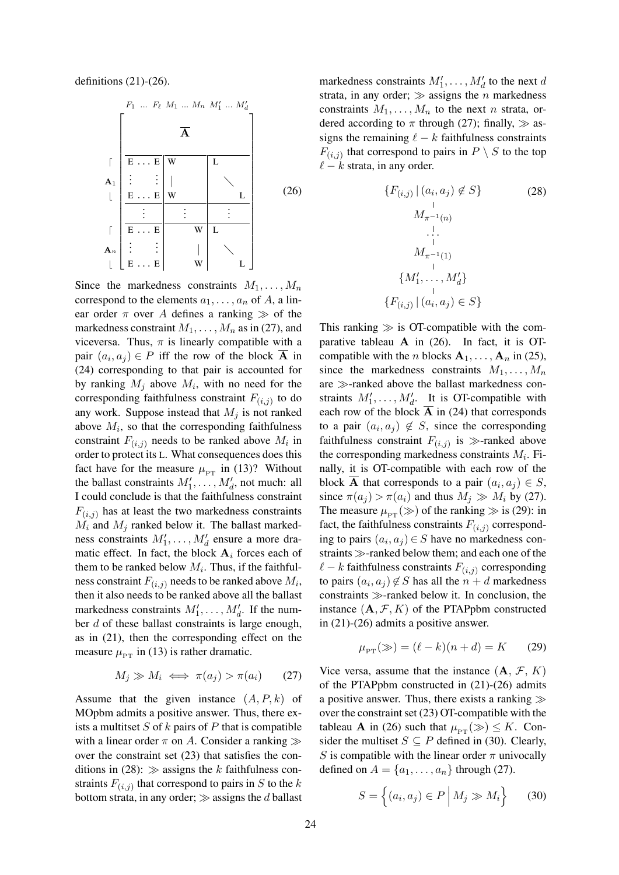definitions  $(21)-(26)$ .

 F<sup>1</sup> ... F` M<sup>1</sup> ... M<sup>n</sup> M<sup>0</sup> 1 ... M0 d A <sup>d</sup> <sup>E</sup> . . . <sup>E</sup> <sup>W</sup> <sup>L</sup> A1 . . . . . . | <sup>b</sup> <sup>E</sup> . . . <sup>E</sup> <sup>W</sup> <sup>L</sup> . . . . . . . . . <sup>d</sup> <sup>E</sup> . . . <sup>E</sup> <sup>W</sup> <sup>L</sup> An . . . . . . | <sup>b</sup> <sup>E</sup> . . . <sup>E</sup> <sup>W</sup> <sup>L</sup> (26)

Since the markedness constraints  $M_1, \ldots, M_n$ correspond to the elements  $a_1, \ldots, a_n$  of A, a linear order  $\pi$  over A defines a ranking  $\gg$  of the markedness constraint  $M_1, \ldots, M_n$  as in (27), and viceversa. Thus,  $\pi$  is linearly compatible with a pair  $(a_i, a_j) \in P$  iff the row of the block **A** in (24) corresponding to that pair is accounted for by ranking  $M_j$  above  $M_i$ , with no need for the corresponding faithfulness constraint  $F_{(i,j)}$  to do any work. Suppose instead that  $M_i$  is not ranked above  $M_i$ , so that the corresponding faithfulness constraint  $F_{(i,j)}$  needs to be ranked above  $M_i$  in order to protect its L. What consequences does this fact have for the measure  $\mu_{PT}$  in (13)? Without the ballast constraints  $M'_1, \ldots, M'_d$ , not much: all I could conclude is that the faithfulness constraint  $F(i,j)$  has at least the two markedness constraints  $M_i$  and  $M_j$  ranked below it. The ballast markedness constraints  $M'_1, \ldots, M'_d$  ensure a more dramatic effect. In fact, the block  $A_i$  forces each of them to be ranked below  $M_i$ . Thus, if the faithfulness constraint  $F_{(i,j)}$  needs to be ranked above  $M_i$ , then it also needs to be ranked above all the ballast markedness constraints  $M'_1, \ldots, M'_d$ . If the number d of these ballast constraints is large enough, as in (21), then the corresponding effect on the measure  $\mu_{PT}$  in (13) is rather dramatic.

$$
M_j \gg M_i \iff \pi(a_j) > \pi(a_i) \tag{27}
$$

Assume that the given instance  $(A, P, k)$  of MOpbm admits a positive answer. Thus, there exists a multitset  $S$  of  $k$  pairs of  $P$  that is compatible with a linear order  $\pi$  on A. Consider a ranking  $\gg$ over the constraint set (23) that satisfies the conditions in (28):  $\gg$  assigns the k faithfulness constraints  $F_{(i,j)}$  that correspond to pairs in S to the k bottom strata, in any order;  $\gg$  assigns the d ballast markedness constraints  $M'_1, \ldots, M'_d$  to the next d strata, in any order;  $\gg$  assigns the n markedness constraints  $M_1, \ldots, M_n$  to the next n strata, ordered according to  $\pi$  through (27); finally,  $\gg$  assigns the remaining  $\ell - k$  faithfulness constraints  $F_{(i,j)}$  that correspond to pairs in  $P \setminus S$  to the top  $\ell - k$  strata, in any order.

$$
\{F_{(i,j)} | (a_i, a_j) \notin S\}
$$
\n
$$
\downarrow
$$
\n
$$
M_{\pi^{-1}(n)}
$$
\n
$$
\downarrow
$$
\n
$$
M_{\pi^{-1}(1)}
$$
\n
$$
\{M'_1, \ldots, M'_d\}
$$
\n
$$
\{F_{(i,j)} | (a_i, a_j) \in S\}
$$
\n(28)

This ranking  $\gg$  is OT-compatible with the comparative tableau  $A$  in (26). In fact, it is OTcompatible with the *n* blocks  $A_1, \ldots, A_n$  in (25), since the markedness constraints  $M_1, \ldots, M_n$ are  $\gg$ -ranked above the ballast markedness constraints  $M'_1, \ldots, M'_d$ . It is OT-compatible with each row of the block  $A$  in (24) that corresponds to a pair  $(a_i, a_j) \notin S$ , since the corresponding faithfulness constraint  $F_{(i,j)}$  is  $\gg$ -ranked above the corresponding markedness constraints  $M_i$ . Finally, it is OT-compatible with each row of the block **A** that corresponds to a pair  $(a_i, a_j) \in S$ , since  $\pi(a_i) > \pi(a_i)$  and thus  $M_i \gg M_i$  by (27). The measure  $\mu_{PT} (\gg)$  of the ranking  $\gg$  is (29): in fact, the faithfulness constraints  $F(i,j)$  corresponding to pairs  $(a_i, a_j) \in S$  have no markedness constraints  $\gg$ -ranked below them; and each one of the  $\ell - k$  faithfulness constraints  $F_{(i,j)}$  corresponding to pairs  $(a_i, a_j) \notin S$  has all the  $n + d$  markedness constraints  $\gg$ -ranked below it. In conclusion, the instance  $(A, \mathcal{F}, K)$  of the PTAPpbm constructed in (21)-(26) admits a positive answer.

$$
\mu_{PT}(\gg) = (\ell - k)(n + d) = K
$$
 (29)

Vice versa, assume that the instance  $(A, \mathcal{F}, K)$ of the PTAPpbm constructed in (21)-(26) admits a positive answer. Thus, there exists a ranking  $\gg$ over the constraint set (23) OT-compatible with the tableau **A** in (26) such that  $\mu_{PT} (\gg) \leq K$ . Consider the multiset  $S \subseteq P$  defined in (30). Clearly, S is compatible with the linear order  $\pi$  univocally defined on  $A = \{a_1, \ldots, a_n\}$  through (27).

$$
S = \left\{ (a_i, a_j) \in P \, \middle| \, M_j \gg M_i \right\} \qquad (30)
$$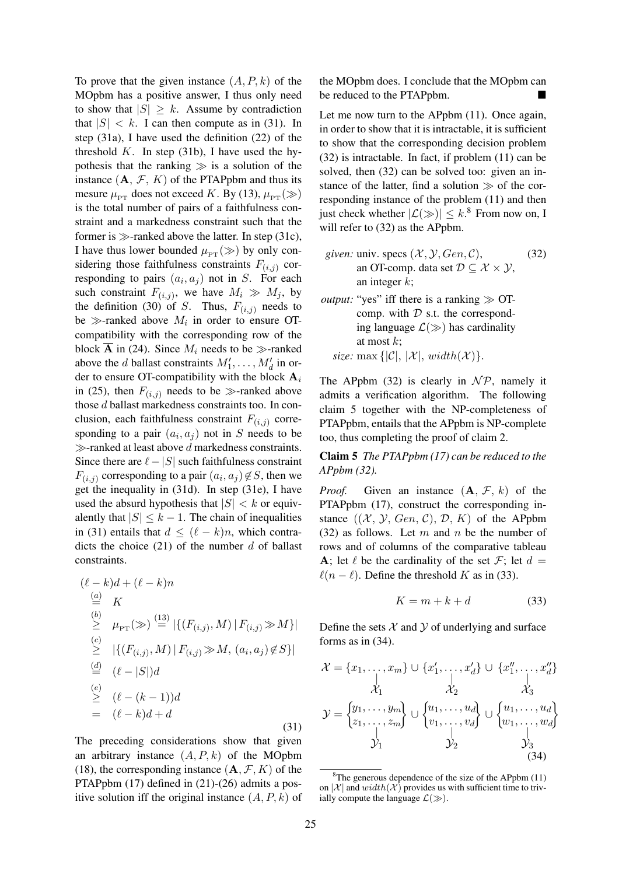To prove that the given instance  $(A, P, k)$  of the MOpbm has a positive answer, I thus only need to show that  $|S| \geq k$ . Assume by contradiction that  $|S| < k$ . I can then compute as in (31). In step (31a), I have used the definition (22) of the threshold  $K$ . In step (31b), I have used the hypothesis that the ranking  $\gg$  is a solution of the instance  $(A, \mathcal{F}, K)$  of the PTAPpbm and thus its mesure  $\mu_{PT}$  does not exceed K. By (13),  $\mu_{PT} (\gg)$ is the total number of pairs of a faithfulness constraint and a markedness constraint such that the former is  $\gg$ -ranked above the latter. In step (31c), I have thus lower bounded  $\mu_{PT} (\gg)$  by only considering those faithfulness constraints  $F_{(i,j)}$  corresponding to pairs  $(a_i, a_j)$  not in S. For each such constraint  $F_{(i,j)}$ , we have  $M_i \gg M_j$ , by the definition (30) of S. Thus,  $F_{(i,j)}$  needs to be  $\gg$ -ranked above  $M_i$  in order to ensure OTcompatibility with the corresponding row of the block  $\overline{A}$  in (24). Since  $M_i$  needs to be  $\gg$ -ranked above the *d* ballast constraints  $M'_1, \ldots, M'_d$  in order to ensure OT-compatibility with the block  $A_i$ in (25), then  $F(i,j)$  needs to be  $\gg$ -ranked above those d ballast markedness constraints too. In conclusion, each faithfulness constraint  $F_{(i,j)}$  corresponding to a pair  $(a_i, a_j)$  not in S needs to be  $\gg$ -ranked at least above d markedness constraints. Since there are  $\ell - |S|$  such faithfulness constraint  $F_{(i,j)}$  corresponding to a pair  $(a_i, a_j) \not\in S,$  then we get the inequality in (31d). In step (31e), I have used the absurd hypothesis that  $|S| < k$  or equivalently that  $|S| \leq k - 1$ . The chain of inequalities in (31) entails that  $d < (\ell - k)n$ , which contradicts the choice  $(21)$  of the number d of ballast constraints.

$$
(\ell - k)d + (\ell - k)n
$$
  
\n
$$
\stackrel{(a)}{=} K
$$
  
\n
$$
\stackrel{(b)}{\geq} \mu_{PT}(\gg) \stackrel{(13)}{=} |\{ (F_{(i,j)}, M) | F_{(i,j)} \gg M \}|
$$
  
\n
$$
\stackrel{(c)}{\geq} |\{ (F_{(i,j)}, M) | F_{(i,j)} \gg M, (a_i, a_j) \notin S \}|
$$
  
\n
$$
\stackrel{(d)}{=} (\ell - |S|)d
$$
  
\n
$$
\stackrel{(e)}{\geq} (\ell - (k - 1))d
$$
  
\n
$$
= (\ell - k)d + d
$$
  
\n(31)

The preceding considerations show that given an arbitrary instance  $(A, P, k)$  of the MOpbm (18), the corresponding instance  $(A, \mathcal{F}, K)$  of the PTAPpbm (17) defined in (21)-(26) admits a positive solution iff the original instance  $(A, P, k)$  of the MOpbm does. I conclude that the MOpbm can be reduced to the PTAPpbm.

Let me now turn to the APpbm (11). Once again, in order to show that it is intractable, it is sufficient to show that the corresponding decision problem (32) is intractable. In fact, if problem (11) can be solved, then (32) can be solved too: given an instance of the latter, find a solution  $\gg$  of the corresponding instance of the problem (11) and then just check whether  $|\mathcal{L}(\gg)| \leq k$ .<sup>8</sup> From now on, I will refer to (32) as the APpbm.

- *given:* univ. specs  $(\mathcal{X}, \mathcal{Y}, Gen, \mathcal{C})$ , an OT-comp. data set  $\mathcal{D} \subseteq \mathcal{X} \times \mathcal{Y}$ , an integer  $k$ ; (32)
- *output:* "yes" iff there is a ranking  $\gg$  OTcomp. with  $D$  s.t. the corresponding language  $\mathcal{L}(\gg)$  has cardinality at most  $k$ ; *size:* max  $\{|\mathcal{C}|, |\mathcal{X}|, width(\mathcal{X})\}.$

The APpbm (32) is clearly in  $\mathcal{NP}$ , namely it admits a verification algorithm. The following claim 5 together with the NP-completeness of PTAPpbm, entails that the APpbm is NP-complete too, thus completing the proof of claim 2.

Claim 5 *The PTAPpbm (17) can be reduced to the APpbm (32).*

*Proof.* Given an instance  $(A, \mathcal{F}, k)$  of the PTAPpbm (17), construct the corresponding instance  $((\mathcal{X}, \mathcal{Y}, Gen, \mathcal{C}), \mathcal{D}, K)$  of the APpbm  $(32)$  as follows. Let m and n be the number of rows and of columns of the comparative tableau A; let  $\ell$  be the cardinality of the set F; let  $d =$  $\ell(n - \ell)$ . Define the threshold K as in (33).

$$
K = m + k + d \tag{33}
$$

Define the sets  $X$  and  $Y$  of underlying and surface forms as in (34).

$$
\mathcal{X} = \{x_1, ..., x_m\} \cup \{x'_1, ..., x'_d\} \cup \{x''_1, ..., x''_d\} \n\mathcal{X}_1 \quad \downarrow \quad \downarrow \quad \downarrow
$$
\n
$$
\mathcal{Y} = \begin{cases} y_1, ..., y_m \\ z_1, ..., z_m \end{cases} \cup \begin{cases} u_1, ..., u_d \\ v_1, ..., v_d \end{cases} \cup \begin{cases} u_1, ..., u_d \\ w_1, ..., w_d \end{cases} \n\mathcal{Y}_1 \quad \mathcal{Y}_2 \quad \mathcal{Y}_3 \quad \mathcal{Y}_4 \quad (34)
$$

 $8$ The generous dependence of the size of the APpbm (11) on  $|\mathcal{X}|$  and  $width(\mathcal{X})$  provides us with sufficient time to trivially compute the language  $\mathcal{L}(\gg)$ .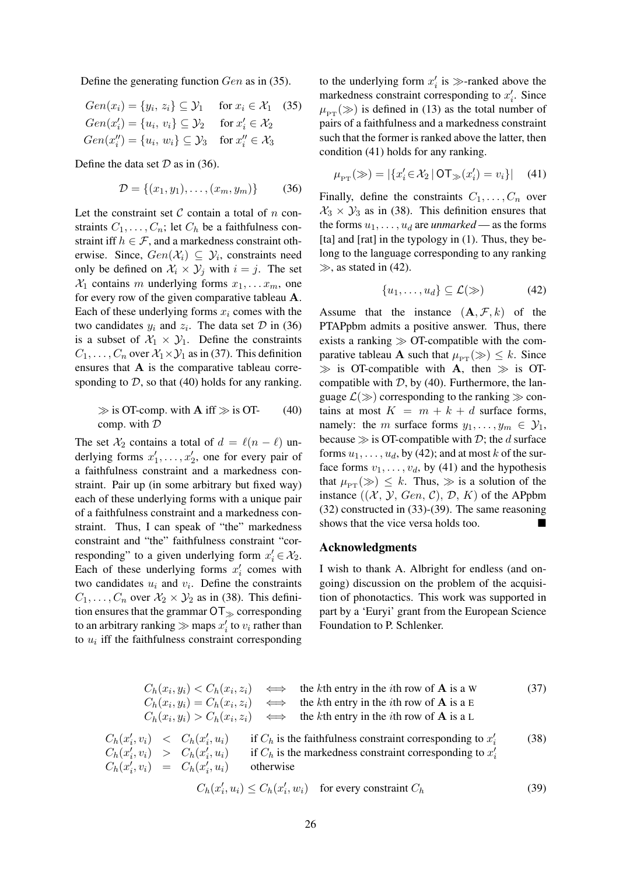Define the generating function Gen as in (35).

$$
Gen(x_i) = \{y_i, z_i\} \subseteq \mathcal{Y}_1 \quad \text{for } x_i \in \mathcal{X}_1 \quad (35)
$$
  
\n
$$
Gen(x_i') = \{u_i, v_i\} \subseteq \mathcal{Y}_2 \quad \text{for } x_i' \in \mathcal{X}_2
$$
  
\n
$$
Gen(x_i'') = \{u_i, w_i\} \subseteq \mathcal{Y}_3 \quad \text{for } x_i'' \in \mathcal{X}_3
$$

Define the data set  $D$  as in (36).

$$
\mathcal{D} = \{(x_1, y_1), \dots, (x_m, y_m)\}\tag{36}
$$

Let the constraint set  $\mathcal C$  contain a total of  $n$  constraints  $C_1, \ldots, C_n$ ; let  $C_h$  be a faithfulness constraint iff  $h \in \mathcal{F}$ , and a markedness constraint otherwise. Since,  $Gen(X_i) \subseteq Y_i$ , constraints need only be defined on  $\mathcal{X}_i \times \mathcal{Y}_j$  with  $i = j$ . The set  $\mathcal{X}_1$  contains m underlying forms  $x_1, \ldots x_m$ , one for every row of the given comparative tableau A. Each of these underlying forms  $x_i$  comes with the two candidates  $y_i$  and  $z_i$ . The data set  $D$  in (36) is a subset of  $\mathcal{X}_1 \times \mathcal{Y}_1$ . Define the constraints  $C_1, \ldots, C_n$  over  $\mathcal{X}_1 \times \mathcal{Y}_1$  as in (37). This definition ensures that A is the comparative tableau corresponding to  $D$ , so that (40) holds for any ranking.

$$
\gg \text{ is OT-comp. with } \mathbf{A} \text{ iff } \gg \text{ is OT-} \tag{40}
$$
  
comp. with  $\mathcal{D}$ 

The set  $\mathcal{X}_2$  contains a total of  $d = \ell(n - \ell)$  underlying forms  $x'_1, \ldots, x'_2$ , one for every pair of a faithfulness constraint and a markedness constraint. Pair up (in some arbitrary but fixed way) each of these underlying forms with a unique pair of a faithfulness constraint and a markedness constraint. Thus, I can speak of "the" markedness constraint and "the" faithfulness constraint "corresponding" to a given underlying form  $x'_i \in \mathcal{X}_2$ . Each of these underlying forms  $x_i'$  comes with two candidates  $u_i$  and  $v_i$ . Define the constraints  $C_1, \ldots, C_n$  over  $\mathcal{X}_2 \times \mathcal{Y}_2$  as in (38). This definition ensures that the grammar  $OT_{\gg}$  corresponding to an arbitrary ranking  $\gg$  maps  $x'_i$  to  $v_i$  rather than to  $u_i$  iff the faithfulness constraint corresponding

to the underlying form  $x_i'$  is  $\gg$ -ranked above the markedness constraint corresponding to  $x'_i$ . Since  $\mu_{\text{pr}} (\gg)$  is defined in (13) as the total number of pairs of a faithfulness and a markedness constraint such that the former is ranked above the latter, then condition (41) holds for any ranking.

$$
\mu_{\rm PT}(\gg) = |\{x'_i \in \mathcal{X}_2 \,|\, \text{OT}_\gg(x'_i) = v_i\}| \quad (41)
$$

Finally, define the constraints  $C_1, \ldots, C_n$  over  $X_3 \times Y_3$  as in (38). This definition ensures that the forms  $u_1, \ldots, u_d$  are *unmarked* — as the forms [ta] and [rat] in the typology in (1). Thus, they belong to the language corresponding to any ranking  $\gg$ , as stated in (42).

$$
\{u_1, \ldots, u_d\} \subseteq \mathcal{L}(\gg) \tag{42}
$$

Assume that the instance  $(A, \mathcal{F}, k)$  of the PTAPpbm admits a positive answer. Thus, there exists a ranking  $\gg$  OT-compatible with the comparative tableau **A** such that  $\mu_{PT} (\gg) \leq k$ . Since  $\gg$  is OT-compatible with A, then  $\gg$  is OTcompatible with  $D$ , by (40). Furthermore, the language  $\mathcal{L}(\gg)$  corresponding to the ranking  $\gg$  contains at most  $K = m + k + d$  surface forms, namely: the m surface forms  $y_1, \ldots, y_m \in \mathcal{Y}_1$ , because  $\gg$  is OT-compatible with D; the d surface forms  $u_1, \ldots, u_d$ , by (42); and at most k of the surface forms  $v_1, \ldots, v_d$ , by (41) and the hypothesis that  $\mu_{PT} (\gg) \leq k$ . Thus,  $\gg$  is a solution of the instance  $((\mathcal{X}, \mathcal{Y}, Gen, \mathcal{C}), \mathcal{D}, K)$  of the APpbm (32) constructed in (33)-(39). The same reasoning shows that the vice versa holds too.

### Acknowledgments

I wish to thank A. Albright for endless (and ongoing) discussion on the problem of the acquisition of phonotactics. This work was supported in part by a 'Euryi' grant from the European Science Foundation to P. Schlenker.

$$
C_h(x_i, y_i) < C_h(x_i, z_i) \iff \text{the } k\text{th entry in the } i\text{th row of } \mathbf{A} \text{ is a W} \tag{37}
$$
\n
$$
C_h(x_i, y_i) = C_h(x_i, z_i) \iff \text{the } k\text{th entry in the } i\text{th row of } \mathbf{A} \text{ is a E}
$$
\n
$$
C_h(x_i, y_i) > C_h(x_i, z_i) \iff \text{the } k\text{th entry in the } i\text{th row of } \mathbf{A} \text{ is a L}
$$
\n
$$
C_h(x'_i, v_i) < C_h(x'_i, u_i) \quad \text{if } C_h \text{ is the faithfulness constraint corresponding to } x'_i \tag{38}
$$
\n
$$
C_h(x'_i, v_i) > C_h(x'_i, u_i) \quad \text{if } C_h \text{ is the markedness constraint corresponding to } x'_i \tag{38}
$$
\n
$$
C_h(x'_i, v_i) = C_h(x'_i, u_i) \quad \text{otherwise}
$$

$$
C_h(x'_i, u_i) \le C_h(x'_i, w_i) \quad \text{for every constraint } C_h \tag{39}
$$